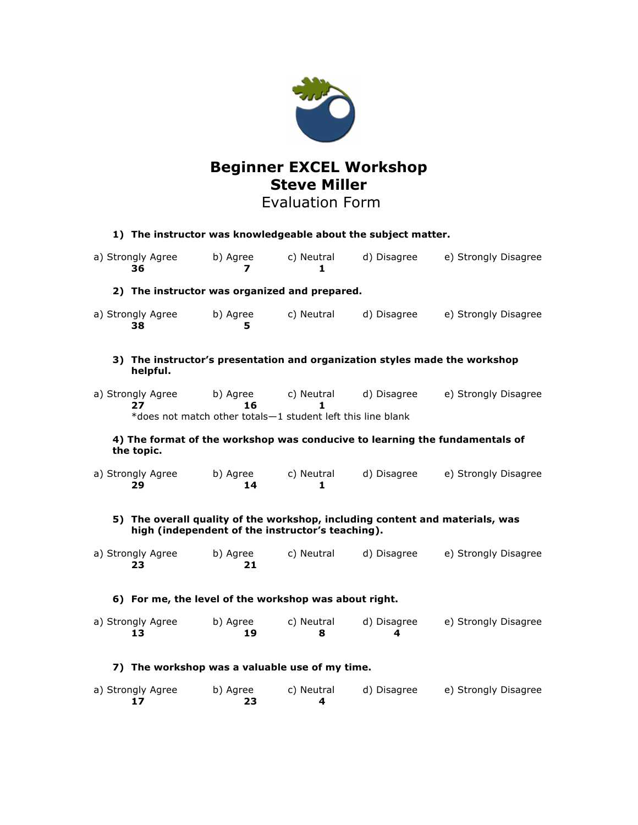

# **Beginner EXCEL Workshop Steve Miller**

## Evaluation Form

| 1) The instructor was knowledgeable about the subject matter.                                                                    |                |                 |                  |                      |
|----------------------------------------------------------------------------------------------------------------------------------|----------------|-----------------|------------------|----------------------|
| a) Strongly Agree<br>36                                                                                                          | b) Agree<br>7  | c) Neutral<br>1 | d) Disagree      | e) Strongly Disagree |
| 2) The instructor was organized and prepared.                                                                                    |                |                 |                  |                      |
| a) Strongly Agree<br>38                                                                                                          | b) Agree<br>5  | c) Neutral      | d) Disagree      | e) Strongly Disagree |
| 3) The instructor's presentation and organization styles made the workshop<br>helpful.                                           |                |                 |                  |                      |
| a) Strongly Agree<br>27                                                                                                          | b) Agree<br>16 | c) Neutral      | d) Disagree      | e) Strongly Disagree |
| *does not match other totals-1 student left this line blank                                                                      |                |                 |                  |                      |
| 4) The format of the workshop was conducive to learning the fundamentals of<br>the topic.                                        |                |                 |                  |                      |
| a) Strongly Agree<br>29                                                                                                          | b) Agree<br>14 | c) Neutral<br>1 | d) Disagree      | e) Strongly Disagree |
| 5) The overall quality of the workshop, including content and materials, was<br>high (independent of the instructor's teaching). |                |                 |                  |                      |
| a) Strongly Agree<br>23                                                                                                          | b) Agree<br>21 | c) Neutral      | d) Disagree      | e) Strongly Disagree |
| 6) For me, the level of the workshop was about right.                                                                            |                |                 |                  |                      |
| a) Strongly Agree<br>13                                                                                                          | b) Agree<br>19 | c) Neutral<br>8 | d) Disagree<br>4 | e) Strongly Disagree |
| 7) The workshop was a valuable use of my time.                                                                                   |                |                 |                  |                      |
| a) Strongly Agree<br>17                                                                                                          | b) Agree<br>23 | c) Neutral<br>4 | d) Disagree      | e) Strongly Disagree |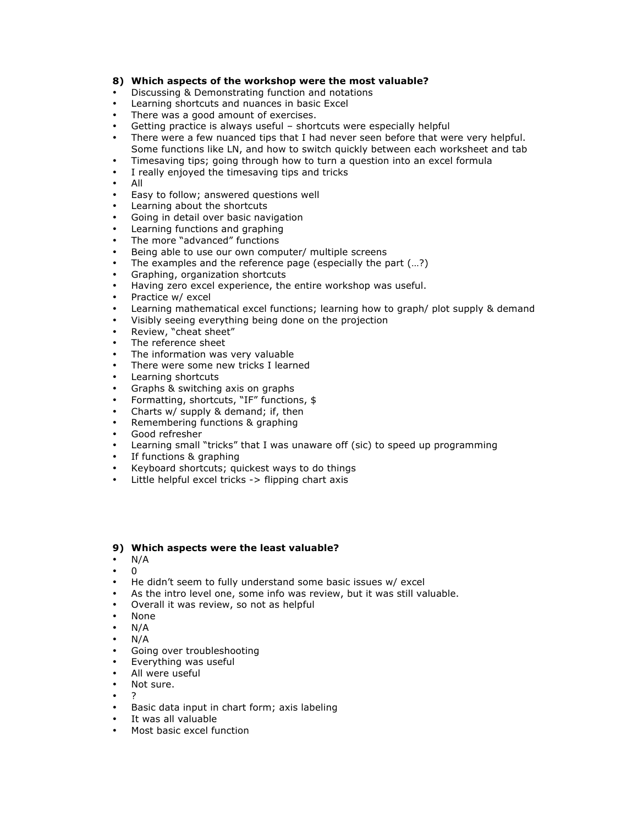### **8) Which aspects of the workshop were the most valuable?**

- Discussing & Demonstrating function and notations
- Learning shortcuts and nuances in basic Excel
- There was a good amount of exercises.
- Getting practice is always useful shortcuts were especially helpful
- There were a few nuanced tips that I had never seen before that were very helpful. Some functions like LN, and how to switch quickly between each worksheet and tab
- Timesaving tips; going through how to turn a question into an excel formula
- I really enjoyed the timesaving tips and tricks
- All
- Easy to follow; answered questions well
- Learning about the shortcuts
- Going in detail over basic navigation
- Learning functions and graphing
- The more "advanced" functions
- Being able to use our own computer/ multiple screens
- The examples and the reference page (especially the part (...?)
- Graphing, organization shortcuts
- Having zero excel experience, the entire workshop was useful.
- Practice w/ excel
- Learning mathematical excel functions; learning how to graph/ plot supply & demand
- Visibly seeing everything being done on the projection
- Review, "cheat sheet"
- The reference sheet
- The information was very valuable
- There were some new tricks I learned
- Learning shortcuts
- Graphs & switching axis on graphs
- Formatting, shortcuts, "IF" functions, \$
- Charts w/ supply & demand; if, then
- Remembering functions & graphing
- Good refresher
- Learning small "tricks" that I was unaware off (sic) to speed up programming
- If functions & graphing
- Keyboard shortcuts; quickest ways to do things
- Little helpful excel tricks -> flipping chart axis

#### **9) Which aspects were the least valuable?**

- $N/A$
- $\Omega$
- He didn't seem to fully understand some basic issues w/ excel
- As the intro level one, some info was review, but it was still valuable.
- Overall it was review, so not as helpful
- None
- $N/A$
- $N/A$
- Going over troubleshooting
- Everything was useful
- All were useful
- Not sure.
- ?
- Basic data input in chart form; axis labeling
- It was all valuable
- Most basic excel function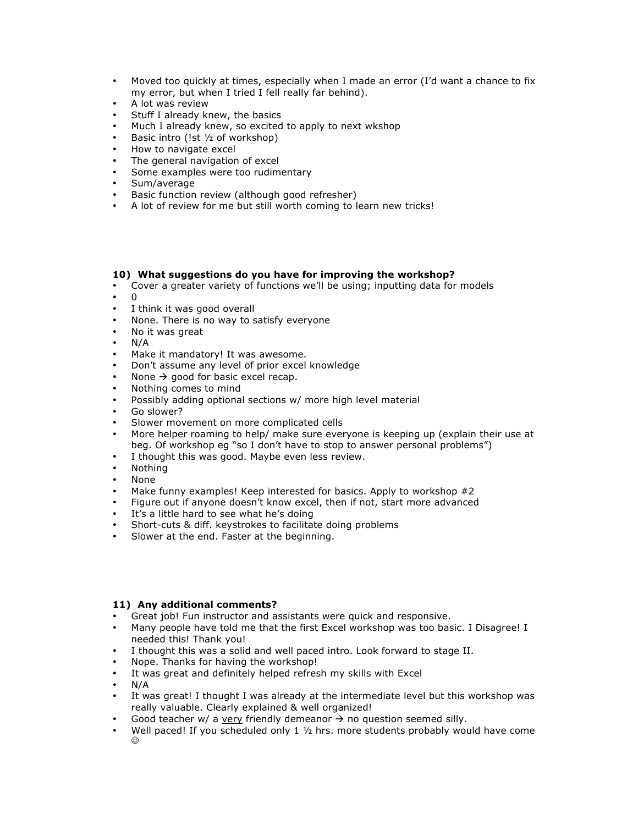- Moved too quickly at times, especially when I made an error (I'd want a chance to fix my error, but when I tried I fell really far behind).
- A lot was review
- Stuff I already knew, the basics
- Much I already knew, so excited to apply to next wkshop
- Basic intro (!st ½ of workshop)
- How to navigate excel
- The general navigation of excel
- Some examples were too rudimentary
- Sum/average
- Basic function review (although good refresher)
- A lot of review for me but still worth coming to learn new tricks!

#### **10) What suggestions do you have for improving the workshop?**

- Cover a greater variety of functions we'll be using; inputting data for models
- $\cdot$  0<br> $\cdot$  1
- I think it was good overall
- None. There is no way to satisfy everyone
- No it was great
- N/A
- Make it mandatory! It was awesome.
- Don't assume any level of prior excel knowledge
- None  $\rightarrow$  good for basic excel recap.
- Nothing comes to mind
- Possibly adding optional sections w/ more high level material
- Go slower?
- Slower movement on more complicated cells
- More helper roaming to help/ make sure everyone is keeping up (explain their use at beg. Of workshop eg "so I don't have to stop to answer personal problems")
- I thought this was good. Maybe even less review.
- Nothing
- None
- Make funny examples! Keep interested for basics. Apply to workshop #2
- Figure out if anyone doesn't know excel, then if not, start more advanced
- It's a little hard to see what he's doing
- Short-cuts & diff. keystrokes to facilitate doing problems
- Slower at the end. Faster at the beginning.

#### **11) Any additional comments?**

- Great job! Fun instructor and assistants were quick and responsive.
- Many people have told me that the first Excel workshop was too basic. I Disagree! I needed this! Thank you!
- I thought this was a solid and well paced intro. Look forward to stage II.
- Nope. Thanks for having the workshop!
- It was great and definitely helped refresh my skills with Excel
- N/A
- It was great! I thought I was already at the intermediate level but this workshop was really valuable. Clearly explained & well organized!
- Good teacher w/ a very friendly demeanor  $\rightarrow$  no question seemed silly.
- Well paced! If you scheduled only  $1 \frac{1}{2}$  hrs. more students probably would have come  $\odot$